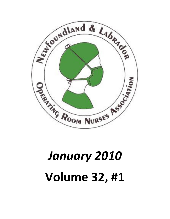

# January 2010 Volume 32, #1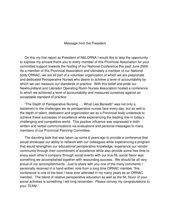#### Message from the President

 On this my first report as President of N&LORNA I would like to take the opportunity to express my sincere thank you to every member of this Provincial Association for your committed support towards the hosting of our National Conference this past June 2009. As a member of this Provincial Association and ultimately a member of our National body ORNAC, we are all part of a volunteer organization of which we are passionate and dedicated Perioperative Nurses who desire to achieve a level of accountability by which we can measure our standards of practice. With this belief and pride our Newfoundland and Labrador Operating Room Nurses Association hosted a conference to which we achieved a level of accountability and measured ourselves against an acceptable standard of practice.

 "The Depth of Perioperative Nursing …. What Lies Beneath" was not only a testament to the challenges we as perioperative nurses face every day, but as well to the depth of talent, dedication and organization we as a Provincial body undertook to achieve these successes of excellence while experiencing the leading role in today's challenging and competitive world. This positive influence was expressed in both written and verbal communications via evaluations and personal messages to many members of our Provincial Planning Committee.

 The daunting task that was taken up some 6 years ago to provide a conference that would showcase our ability to network with our colleagues while experiencing a program that would strengthen our educational perioperative knowledge, experience our vendor community through their commitment of excellence while also provide some free time to enjoy each other's company through social events with our true NL social flavor was something we accomplished together with resounding success. We should be all very proud of our accomplishments. Just to share with you one of the many comments I personally received in a hand written note from a long time ORNAC member "this conference is one of the best I have ever attended in my many years as an ORNAC member. The blend of relative perioperative education as well as the NL flavor of your social activities is something I will long remember. Please convey my congratulations to your TEAM."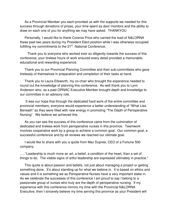As a Provincial Member you each provided us with the supports we needed for this success through donations of prizes, your time spent as door monitors and the ability to draw on each one of you for anything we may have asked. THANKYOU

 Personally, I would like to thank Corenia Price who carried the load of N&LORNA these past two years during my President Elect position while I was otherwise occupied fulfilling my commitments to the  $21<sup>st</sup>$ . National Conference.

 Thank you to everyone who worked ever so diligently towards the success of this conference, your tireless hours of work ensured every detail provided a memorable, educational and rewarding experience.

 Thank you to our Provincial Planning Committee and their sub-committees who gave tirelessly of themselves in preparation and completion of their tasks at hand.

 Thank you to Laura Ellsworth, my co-chair who brought the experience needed to round out the knowledge of planning this conference. As well thank you to Lynn Anderson who, as a past ORNAC Executive Member brought depth and knowledge to our committee in an advisory role.

 It was our hope that through the dedicated hard work of the entire committee and provincial members, everyone would experience a better understanding of "What Lies Beneath" as they were filled with new energy in promoting "The Depth of Perioperative Nursing". We believe we achieved this.

 As you can see the success of this conference came from the culmination of dedicated and tireless work from perioperative nurses in this province. Teamwork involves cooperative work by a group to achieve a common goal. Our common goal, a successful conference and by all reviews we reached our ultimate goal.

 I would like to share with you a quote from Max Dupree, CEO of a Fortune 500 company.

….."Leadership is much more an art, a belief, a condition of the heart, than a set of things to do. The visible signs of artful leadership are expressed ultimately in practice."

 This quote is about passion and beliefs, not just about managing a project or getting something done. It's about standing up for what we believe in. It is based on ethics and values and it is something we as Perioperative Nurses have a very important stake in. As we celebrate the successes of this conference I am proud to say I belong to a passionate group of nurses who truly are the depth of perioperative nursing. If my experience with this conference mirrors my time with the Provincial N&LORNA Executive, then I sincerely believe my time serving this province as your President will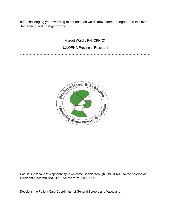be a challenging yet rewarding experience as we all move forward together in this ever demanding and changing world.

### Margot Walsh, RN, CPN(C)

#### N&LORNA Provincial President

^^^^^^^^^^^^^^^^^^^^^^^^^^^^^^^^^^^^^^^^^^^^^^^^^^^^^^^^^^^^^^^^^^^^^^^^^^^^^^^^^^^



I would like to take this opportunity to welcome Debbie Keough, RN CPN(C) to the position of President-Elect with N&LORNA for the term 2009-2011.

Debbie is the Patient Care-Coordinator of General Surgery and Vascular at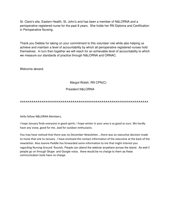St. Clare's site, Eastern Health, St. John's and has been a member of N&LORNA and a perioperative registered nurse for the past 8 years. She holds her RN Diploma and Certification in Perioperative Nursing.

Thank you Debbie for taking on your commitment to this volunteer role while also helping us achieve and maintain a level of accountability by which all perioperative registered nurses hold themselves. In turn then together we will reach for an achievable level of accountability to which we measure our standards of practice through N&LORNA and ORNAC.

Welcome aboard.

#### Margot Walsh, RN CPN(C)

#### President N&LORNA

#### **^^^^^^^^^^^^^^^^^^^^^^^^^^^^^^^^^^^^^^^^^^^^^^^^^^^^^^^^^^^^^^^^^^**

Hello fellow N&LORNA Members,

I hope January finds everyone in good spirits. I hope winter in your area is as good as ours. We hardly have any snow, good for me…bad for outdoor enthusiasts.

You may have noticed that there was no December Newsletter….there was an executive decision made to move that one to January . I have enclosed the contact information of the executive at the back of the newsletter. Also Joanne Peddle has forwarded some information to me that might interest you regarding Nursing Ground Rounds. People can attend the webinar anywhere across the island. As well if people go on through Skype and Google voice, there would be no charge to them as these communication tools have no charge.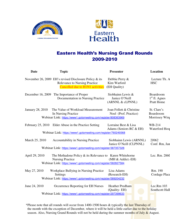



## Eastern Health's Nursing Grand Rounds 2009-2010

| <b>Date</b>             | <b>Topic</b>                                                                                                                                           | <b>Presenter</b>                                        | Location                                   |
|-------------------------|--------------------------------------------------------------------------------------------------------------------------------------------------------|---------------------------------------------------------|--------------------------------------------|
|                         | November 26, 2009 EH's revised Disclosure Policy & its<br><b>Relevance to Nursing Practice</b><br>Cancelled due to H1N1 activities                     | Debbie Perry &<br>Kim Warford<br>(EH Quality)           | Lecture Th. A<br><b>HSC</b>                |
|                         | December 16, 2009 The Importance of Proper<br>Documentation in Nursing Practice                                                                        | Siobhainn Lewis &<br>Janice O'Neill<br>(ARNNL & cLPNNL) | Boardroom<br>$1st$ fl. Agnes<br>Pratt Home |
| <b>January 28, 2010</b> | The Value of Workload Measurement<br>In Nursing Practice<br>Webinar Link: https://www1.gotomeeting.com/register/808363969                              | Joan Follett & Christine<br>Noel (Prof. Practice)       | St. Clare's<br>Boardroom<br>Morrissey Wing |
| February 25, 2010       | Elder Abuse in the Practice Setting                                                                                                                    | Lorraine Best & Lisa<br>Adams (Seniors RC & EH)         | WB-214<br>Waterford Host                   |
|                         | Webinar Link: https://www1.gotomeeting.com/register/760249368                                                                                          |                                                         |                                            |
| March 25, 2010          | <b>Accountability in Nursing Practice</b>                                                                                                              | Siobhainn Lewis (ARNNL)<br>Janice O'Neill (CLPNNL)      | 2J062<br>Conf. Rm, Jan                     |
|                         | Webinar Link: https://www1.gotomeeting.com/register/387357328                                                                                          |                                                         |                                            |
| April 29, 2010          | The Methadone Policy $&$ its Relevance to Karen Whitehorne<br><b>Nursing Practice</b><br>Webinar Link: https://www1.gotomeeting.com/register/582827584 | (MH & Addict.-EH)                                       | Lec. Rm. 2860                              |
| May 27, 2010            | Workplace Bullying in Nursing Practice<br>Settings                                                                                                     | Lisa Adams<br>(Research-EH)                             | Rm. 190<br>Cordage Place                   |
|                         | Webinar Link: https://www1.gotomeeting.com/register/589204232                                                                                          |                                                         |                                            |
| June 24, 2010           | Occurrence Reporting for EH Nurses                                                                                                                     | <b>Heather Predham</b><br>(Quality-EH)                  | Lec.Rm 103<br>Southcott Hall               |
|                         | Webinar Link: https://www1.gotomeeting.com/register/297399633                                                                                          |                                                         |                                            |

\*Please note that all rounds will occur from 1400-1500 hours & typically the last Thursday of the month with the exception of December, where it will be held a little earlier due to the holiday season. Also, Nursing Grand Rounds will not be held during the summer months of July & August.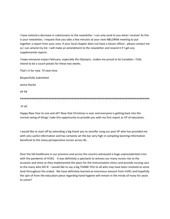I have noticed a decrease in submissions to the newsletter. I can only send to you what I receive! As this is your newsletter, I request that you take a few minutes at your next N&LORNA meeting to put together a report from your area. If your local chapter does not have a liaison officer , please contact me so I can amend my list. I will make an amendment to the newsletter and resend it if I get any supplemental reports.

I hope everyone enjoys February, especially the Olympics…makes me proud to be Canadian. I fully intend to be a couch potato for these two weeks.

That's it for now. Til next time.

Respectfully Submitted

Janice Roche

VP PR

^^^^^^^^^^^^^^^^^^^^^^^^^^^^^^^^^^^^^^^^^^^^^^^^^^^^^^^^^^^^^^^^^^^^^^^^^^^^^^

Hi all,

Happy New Year to one and all!! Now that Christmas is over and everyone is getting back into the normal swing of things I take this opportunity to provide you with my first report as VP of education.

I would like to start off by extending a big thank you to Jennifer Long our past VP who has provided me with very useful information and has certainly set the bar very high in compiling learning information beneficial to the many perioperative nurses across NL.

Over the fall healthcare in our province and across the country witnessed a huge unprecedented crisis with the pandemic of H1N1. It was definitely a spectacle to witness our many nurses rise to the occasion and shine as they implemented the plans for the immunization clinics and provide nursing care to the many who fell ill. I would like to say a big THANK YOU to all who may have been involved at some level throughout the ordeal. We have definitely learned an enormous amount from H1N1 and hopefully the spin of from the education piece regarding hand hygiene will remain in the minds of many for years to come!!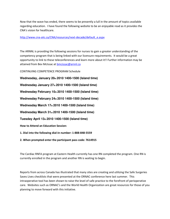Now that the wave has ended, there seems to be presently a lull in the amount of topics available regarding education. I have found the following website to be an enjoyable read as it provides the CNA's vision for healthcare.

#### http://www.cna-aiic.ca/CNA/resources/next-decade/default\_e.aspx

The ARNNL is providing the following sessions for nurses to gain a greater understanding of the competency program that is being linked with our licensure requirements. It would be a great opportunity to link to these teleconferences and learn more about it!! Further information may be attained from Bev McIssac at bmcissac@arnnl.ca

CONTINUING COMPETENCE PROGRAM Schedule

**Wednesday, January 20th 2010 1400-1500 (Island time) Wednesday January 27th 2010 1400-1500 (Island time) Wednesday February 10th 2010 1400-1500 (Island time) Wednesday February 24th 2010 1400-1500 (Island time) Wednesday March 17th 2010 1400-1500 (Island time) Wednesday March 31st 2010 1400-1500 (Island time) Tuesday April 13th 2010 1400-1500 (Island time)** How to Attend an Education Session: 1. Dial into the following dial-in number: 1-888-848-5559

2. When prompted enter the participant pass code: 7614915

The Cardiac RNFA program at Eastern Health currently has one RN completed the program. One RN is currently enrolled in the program and another RN is waiting to begin.

Reports from across Canada has illustrated that many sites are creating and utilizing the Safe Surgeries Saves Lives checklists that were presented at the ORNAC conference here last summer. This intraoperative tool has been shown to raise the level of safe practice to the forefront of perioperative care. Websites such as ORNAC's and the World Health Organization are great resources for those of you planning to move forward with this initiative.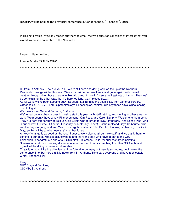NLORNA will be holding the provincial conference in Gander Sept  $23^{rd}$  – Sept  $25^{th}$ , 2010.

In closing, I would invite any reader out there to email me with questions or topics of interest that you would like to see presented in the Newsletter.

Respectfully submitted,

Joanne Peddle BScN RN CPNC

^^^^^^^^^^^^^^^^^^^^^^^^^^^^^^^^^^^^^^^^^^^^^^^^^^^^^^^^^^^^^^^^^^^^^^^^^^^^^^^^^^^^^

Hi, from St Anthony. How are you all? We're still here and doing well, on the tip of the Northern Peninsula. Strange winter this year. We've had winter several times, and gone again, with the mild weather. Not good for those of us who like skidooing. Ah well, I'm sure we'll get lots of it soon. Then we'll be complaining the other way, that it's here too long. Can't please us......

As for work, we've been keeping busy, as usual. Still running the usual lists, from General Surgery, Orthopedics, OBG-YN, ENT, Ophthalmology, Endoscopies, minimal Urology these days, since loosing our Urologist.

We have a new General Surgeon, Dr Gunna.

We've had quite a change over in nursing staff this year, with staff retiring, and moving to other areas to work. We presently have 2 new RNs orientating, Kim Rose, and Karen Dunphy. Welcome to them both. They are here temporarily, to relieve Gina Elliott, who returned to ICU, temporarily, and Sasha Pike, who is our newest full-time OR nurse( Presently on Maternity Leave). Sasha replaced Gaye Colbourne, who went to Day Surgery, full-time. One of our regular staffed ORTs, Carol Colbourne, is planning to retire in May, so this will be another new staff member for us.

Anyway,"change is as good as the rest", I guess. We welcome all our new staff, and we thank them for coming to our dept. We also acknowledge and thank the staff who have departed the OR. I also wish to congratulate one of our CSR staff, Philomena Ricks, for successfully completing Sterilization and Reprocessing distant education course. This is something the other CSR tech, and myself will be doing in the near future also.

That's it for now. Like I said to Janice, I don't tend to do many of these liaison notes, until nearer the conference time, but here's a little news from St. Anthony. Take care everyone and have a enjoyable winter. I hope we will.

Kerry, NUC Surgical Services, CSCMH, St. Anthony

^^^^^^^^^^^^^^^^^^^^^^^^^^^^^^^^^^^^^^^^^^^^^^^^^^^^^^^^^^^^^^^^^^^^^^^^^^^^^^^^^^^^^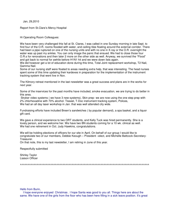Jan, 29,2010

Report from St.Clare's Mercy Hospital

Hi Operating Room Colleagues:

We have been very challenged this fall at St. Clares, I was called in one Sunday morning in late Sept. to find four of the O.R. rooms flooded with water, and ceiling tiles floating around the external corridor. There had been a pipe ruptured on one of the nursing units and with no one in X-ray or the O.R. overnight the water was up past my ankles. You can only image the panic that ensued. We had to close those four O.R.s for renovations and then later 2 more on the other side as well. Anyway, we survived the "Flood" and got back to normal for awhile before H1N1 hit and we were down lists again.

We did however get a lot of education done during this time, Total Joint replacement workshop, T2 Nail, Gamma Nail.

Some of our nursing staff were floated to areas needing extra help, that was interesting. The head nurses spent some of this time updating their kardexes in preparation for the implementation of the instrument tracking system that went live in Nov.

The Kilmory retreat mentioned in the last newsletter was a great success and plans are in the works for next year.

Some of the inservices for the past months have included, smoke evacuation, we are trying to do better in this area.

 Stryker video systems ( we have 3 new systems), Skin prep- we are now using the one step prep with 2% chlorhexadine with 70% alcohol. Tisseel, T-Doc instrument tracking system, Polices, We had an all day laser workshop in Jan. that was well attended city wide.

Fundraising efforts have included Breen's sandwiches ( by popular demand), a spa basket, and a liquor gift card.

We gave a clinical experience to two ORT students, and Kelly Tuck was hired permanently. She is a lovely person, and we welcome her. We have two BN students coming for a 10 wk. clinical as well. We had one retirement in Oct. Judy Hawkins, congratulations.

We will be holding elections of officers for our site in April. On behalf of our group I would like to congratulate two of our members, Debbie Keough – President –elect, and Michelle Battcock-Secretary-Treasurer.

On that note, this is my last newsletter, I am retiring in June of this year.

Respectfully submitted

Shirley Taylor Liaison Officer

^^^^^^^^^^^^^^^^^^^^^^^^^^^^^^^^^^^^^^^^^^^^^^^^^^^^^^^^^^^^^^^^^^^^^^^^^^^^^^^^^^^^^

Hello from Burin,

 I hope everyone enjoyed Christmas . I hope Santa was good to you all. Things here are about the same. We have one of the girls from the floor who has been here filling in a sick leave position. It's great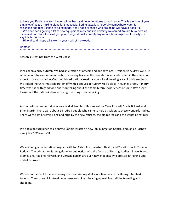to have you Paula. We wish Linden all the best and hope he returns to work soon. This is the time of year that a lot of us are making plans for that special Spring vacation..hopefully somewhere warm for relaxation and rest. Plans are being made, and I hope all those who are going will have a good trip.

We have been getting a lot of new equipment lately and it is certainly welcomed.We are busy here as usual and I am sure this isn't going to change. Actually I rarely say we are busy anymore, I usually just say this is the norm.

Hi to all and I hope all is well in your neck of the woods.

#### Heather

^^^^^^^^^^^^^^^^^^^^^^^^^^^^^^^^^^^^^^^^^^^^^^^^^^^^^^^^^^^^^^^^^^^^^^^^^^^^^^^^^^^^^^^^^^^^^^^^^^^

Season's Greetings from the West Coast

It has been a busy autumn. We had an election of officers and our new local President is Audrey Wells. It is marvelous to see our membership increasing because the new staff is very interested in the education aspect of our association. Our monthly educations sessions at our local meeting are still a big emphasis. We kicked the Christmas celebration off with a potluck at Audrey Well's place in Hughes Brook. A merry time was had with good food and storytelling about the some bizarre experiences of some staff as we looked out the patio window with a light dusting of snow falling.

A wonderful retirement dinner was held at Jennifer's Restaurant for Carol Rowsell, Sheila Billiard, and Ethel Martin. There were about 14 retired people who came to help us celebrate these wonderful ladies. There were a lot of reminiscing and hugs by the new retirees, the old retirees and the wanta be retirees.

We had a potluck lunch to celebrate Connie Stratton's new job in Infection Control and Janice Roche's new job a CCC in our OR.

We are doing an orientation program with for 2 staff from Western Health and 2 staff from Sir Thomas Roddick. The orientation is being done in conjunction with the Centre of Nursing Studies. Grace Brake, Mary Elkins, Raelene Hillyard, and Chrissie Barron are our 4 new students who are still in training until end of February.

We are on the hunt for a new urology bed and Audrey Wells, our head nurse for Urology, has had to travel to Toronto and Montreal on her research. She is bearing up well from all the travelling and shopping.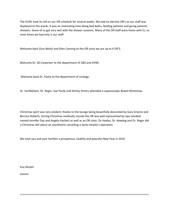The H1N1 took its toll on our OR schedule for several weeks. We had no elective OR's so our staff was displaced to the wards. It was an interesting time doing bed baths, feeding patients and giving patients showers. Some of us got very wet with the shower sessions. Many of the OR staff were home with ILL so most times we had only ½ our staff.

Welcome back Gina Welsh and Glen Canning to the OR since we are up to 4 OR'S.

Welcome Dr. Jill Carpenter to the department of OBS and GYNE.

Welcome back Dr. Pasha to the department of Urology.

Dr. VanNiekerk, Dr. Roger, Sue Pardy and Shirley Simms attended a Laparoscopic Bowel Workshop.

Christmas spirit was very evident, thanks to the lounge being beautifully decorated by Gary Greene and Bernice Roberts. During Christmas medically rounds the OR was well represented by two reindeer named Jennifer Day and Angela Hackett as well as an OR choir. Dr.Healey, Dr. Keeping and Dr. Roger did a Christmas skit about an anesthetist cancelling a Santa Healey's operation.

We wish you and your families a prosperous, healthy and peaceful New Year in 2010

Ena Decker

Liaison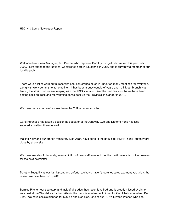HSC N & Lorna Newsletter Report

Welcome to our new Manager, Kim Peddle, who replaces Dorothy Budgell who retired this past July 2009. Kim attended the National Conference here in St. John's in June, and is currently a member of our local branch.

There were a lot of worn out nurses with post conference blues in June, too many meetings for everyone, along with work commitment, home life. It has been a busy couple of years and I think our branch was feeling the strain; but we are keeping with the KISS scenario. Over the past few months we have been getting back on track and rejuvenating as we gear up the Provincial in Gander in 2010.

We have had a couple of Nurses leave the O.R in recent months:

Carol Purchase has taken a position as educator at the Janeway O.R and Darlene Pond has also secured a position there as well.

Maxine Kelly and our branch treasurer, Lisa Allan, have gone to the dark side "PORR" haha but they are close by at our site.

We have are also, fortunately, seen an influx of new staff in recent months. I will have a list of their names for the next newsletter.

Dorothy Budgell was our last liaison, and unfortunately, we haven't recruited a replacement yet, this is the reason we have been so quiet!!!

Bernice Pitcher, our secretary and jack of all trades, has recently retired and is greatly missed. A dinner was held at the Woodstock for her. Also in the plans is a retirement dinner for Carol Tulk who retired Dec 31st. We have socials planned for Maxine and Lisa also. One of our PCA's Elwood Pitcher, who has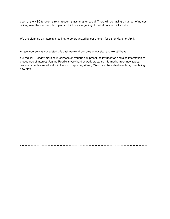been at the HSC forever, is retiring soon, that's another social. There will be having a number of nurses retiring over the next couple of years. I think we are getting old, what do you think? haha

We are planning an intercity meeting, to be organized by our branch, for either March or April.

A laser course was completed this past weekend by some of our staff and we still have

our regular Tuesday morning in-services on various equipment, policy updates and also information re procedures of interest. Joanne Peddle is very hard at work preparing informative fresh new topics. Joanne is our Nurse educator in the O.R, replacing Wendy Walsh and has also been busy orientating new staff .

^^^^^^^^^^^^^^^^^^^^^^^^^^^^^^^^^^^^^^^^^^^^^^^^^^^^^^^^^^^^^^^^^^^^^^^^^^^^^^^^^^^^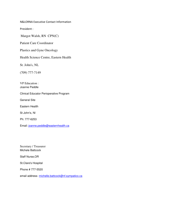N&LORNA Executive Contact Information

President :

Margot Walsh, RN CPN(C)

Patient Care Coordinator

Plastics and Gyne Oncology

Health Science Centre, Eastern Health

St. John's, NL

(709) 777-7149

VP Education : Joanne Peddle

Clinical Educator Perioperative Program

General Site

Eastern Health

St John's, Nl

Ph: 777-6253

Email: joanne.peddle@easternhealth.ca

Secretary / Treasurer Michele Battcock

Staff Nurse,OR

St.Clare's Hospital

Phone # 777-5520

email address- michelle.battcock@nf.sympatico.ca